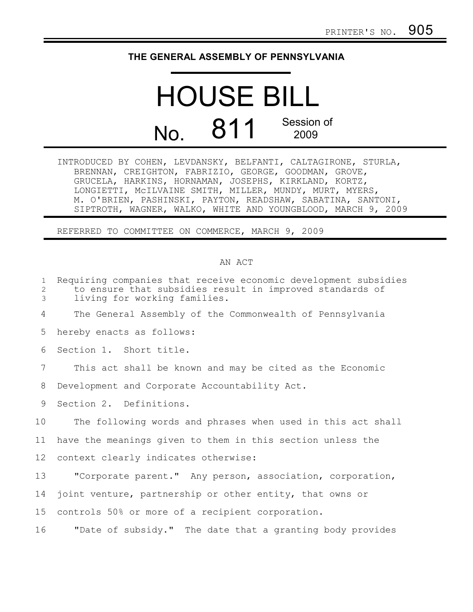## **THE GENERAL ASSEMBLY OF PENNSYLVANIA**

## HOUSE BILL No. 811 Session of 2009

INTRODUCED BY COHEN, LEVDANSKY, BELFANTI, CALTAGIRONE, STURLA, BRENNAN, CREIGHTON, FABRIZIO, GEORGE, GOODMAN, GROVE, GRUCELA, HARKINS, HORNAMAN, JOSEPHS, KIRKLAND, KORTZ, LONGIETTI, McILVAINE SMITH, MILLER, MUNDY, MURT, MYERS, M. O'BRIEN, PASHINSKI, PAYTON, READSHAW, SABATINA, SANTONI, SIPTROTH, WAGNER, WALKO, WHITE AND YOUNGBLOOD, MARCH 9, 2009

REFERRED TO COMMITTEE ON COMMERCE, MARCH 9, 2009

## AN ACT

| $\mathbf{1}$<br>$\mathbf{2}$<br>3 | Requiring companies that receive economic development subsidies<br>to ensure that subsidies result in improved standards of<br>living for working families. |
|-----------------------------------|-------------------------------------------------------------------------------------------------------------------------------------------------------------|
| 4                                 | The General Assembly of the Commonwealth of Pennsylvania                                                                                                    |
| 5                                 | hereby enacts as follows:                                                                                                                                   |
| 6                                 | Section 1. Short title.                                                                                                                                     |
| 7                                 | This act shall be known and may be cited as the Economic                                                                                                    |
| 8                                 | Development and Corporate Accountability Act.                                                                                                               |
| 9                                 | Section 2. Definitions.                                                                                                                                     |
| 10                                | The following words and phrases when used in this act shall                                                                                                 |
| 11                                | have the meanings given to them in this section unless the                                                                                                  |
| 12                                | context clearly indicates otherwise:                                                                                                                        |
| 13                                | "Corporate parent." Any person, association, corporation,                                                                                                   |
| 14                                | joint venture, partnership or other entity, that owns or                                                                                                    |
| 15 <sub>1</sub>                   | controls 50% or more of a recipient corporation.                                                                                                            |
| 16                                | "Date of subsidy." The date that a granting body provides                                                                                                   |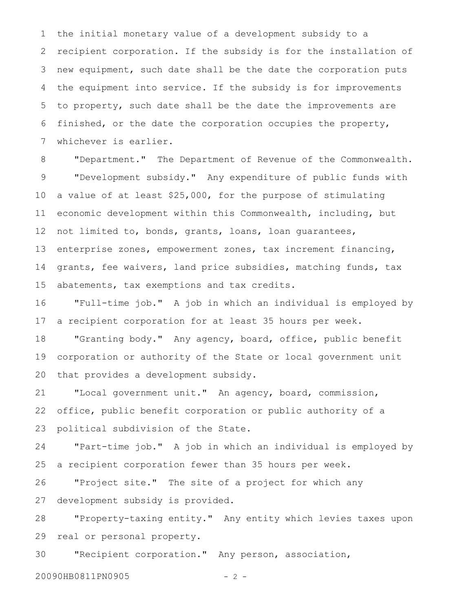the initial monetary value of a development subsidy to a recipient corporation. If the subsidy is for the installation of new equipment, such date shall be the date the corporation puts the equipment into service. If the subsidy is for improvements to property, such date shall be the date the improvements are finished, or the date the corporation occupies the property, whichever is earlier. 1 2 3 4 5 6 7

"Department." The Department of Revenue of the Commonwealth. "Development subsidy." Any expenditure of public funds with a value of at least \$25,000, for the purpose of stimulating economic development within this Commonwealth, including, but not limited to, bonds, grants, loans, loan guarantees, enterprise zones, empowerment zones, tax increment financing, grants, fee waivers, land price subsidies, matching funds, tax abatements, tax exemptions and tax credits. 8 9 10 11 12 13 14 15

"Full-time job." A job in which an individual is employed by a recipient corporation for at least 35 hours per week. 16 17

"Granting body." Any agency, board, office, public benefit corporation or authority of the State or local government unit that provides a development subsidy. 18 19 20

"Local government unit." An agency, board, commission, office, public benefit corporation or public authority of a political subdivision of the State. 21 22 23

"Part-time job." A job in which an individual is employed by a recipient corporation fewer than 35 hours per week. 24 25

"Project site." The site of a project for which any development subsidy is provided. 26 27

"Property-taxing entity." Any entity which levies taxes upon real or personal property. 28 29

"Recipient corporation." Any person, association, 30

20090HB0811PN0905 - 2 -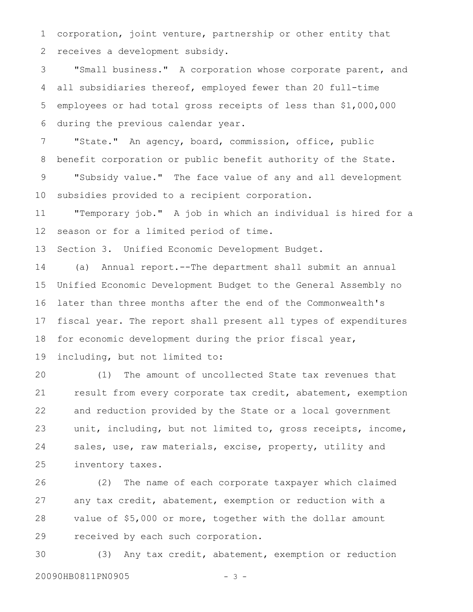corporation, joint venture, partnership or other entity that receives a development subsidy. 1 2

"Small business." A corporation whose corporate parent, and all subsidiaries thereof, employed fewer than 20 full-time employees or had total gross receipts of less than \$1,000,000 during the previous calendar year. 3 4 5 6

"State." An agency, board, commission, office, public benefit corporation or public benefit authority of the State. "Subsidy value." The face value of any and all development 7 8 9

subsidies provided to a recipient corporation. 10

"Temporary job." A job in which an individual is hired for a season or for a limited period of time. 11 12

Section 3. Unified Economic Development Budget. 13

(a) Annual report.--The department shall submit an annual Unified Economic Development Budget to the General Assembly no later than three months after the end of the Commonwealth's fiscal year. The report shall present all types of expenditures for economic development during the prior fiscal year, including, but not limited to: 14 15 16 17 18 19

(1) The amount of uncollected State tax revenues that result from every corporate tax credit, abatement, exemption and reduction provided by the State or a local government unit, including, but not limited to, gross receipts, income, sales, use, raw materials, excise, property, utility and inventory taxes. 20 21 22 23 24 25

(2) The name of each corporate taxpayer which claimed any tax credit, abatement, exemption or reduction with a value of \$5,000 or more, together with the dollar amount received by each such corporation. 26 27 28 29

(3) Any tax credit, abatement, exemption or reduction 20090HB0811PN0905 - 3 -30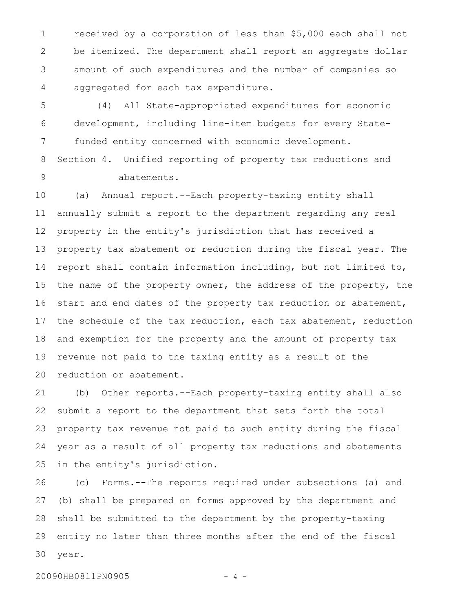received by a corporation of less than \$5,000 each shall not be itemized. The department shall report an aggregate dollar amount of such expenditures and the number of companies so aggregated for each tax expenditure. 1 2 3 4

(4) All State-appropriated expenditures for economic development, including line-item budgets for every Statefunded entity concerned with economic development. 5 6 7

Section 4. Unified reporting of property tax reductions and abatements. 8 9

(a) Annual report.--Each property-taxing entity shall annually submit a report to the department regarding any real property in the entity's jurisdiction that has received a property tax abatement or reduction during the fiscal year. The report shall contain information including, but not limited to, the name of the property owner, the address of the property, the start and end dates of the property tax reduction or abatement, the schedule of the tax reduction, each tax abatement, reduction and exemption for the property and the amount of property tax revenue not paid to the taxing entity as a result of the reduction or abatement. 10 11 12 13 14 15 16 17 18 19 20

(b) Other reports.--Each property-taxing entity shall also submit a report to the department that sets forth the total property tax revenue not paid to such entity during the fiscal year as a result of all property tax reductions and abatements in the entity's jurisdiction. 21 22 23 24 25

(c) Forms.--The reports required under subsections (a) and (b) shall be prepared on forms approved by the department and shall be submitted to the department by the property-taxing entity no later than three months after the end of the fiscal year. 26 27 28 29 30

20090HB0811PN0905 - 4 -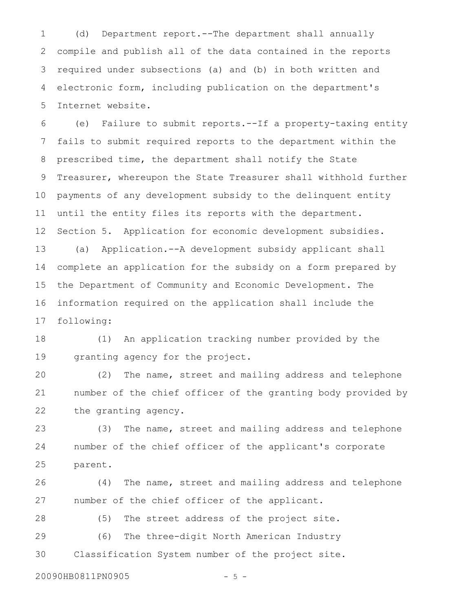(d) Department report.--The department shall annually compile and publish all of the data contained in the reports required under subsections (a) and (b) in both written and electronic form, including publication on the department's Internet website. 1 2 3 4 5

(e) Failure to submit reports.--If a property-taxing entity fails to submit required reports to the department within the prescribed time, the department shall notify the State Treasurer, whereupon the State Treasurer shall withhold further payments of any development subsidy to the delinquent entity until the entity files its reports with the department. Section 5. Application for economic development subsidies. (a) Application.--A development subsidy applicant shall complete an application for the subsidy on a form prepared by the Department of Community and Economic Development. The information required on the application shall include the following: 6 7 8 9 10 11 12 13 14 15 16 17

(1) An application tracking number provided by the granting agency for the project. 18 19

(2) The name, street and mailing address and telephone number of the chief officer of the granting body provided by the granting agency. 20 21 22

(3) The name, street and mailing address and telephone number of the chief officer of the applicant's corporate parent. 23 24 25

(4) The name, street and mailing address and telephone number of the chief officer of the applicant. 26 27

(5) The street address of the project site. 28

(6) The three-digit North American Industry Classification System number of the project site. 29 30

20090HB0811PN0905 - 5 -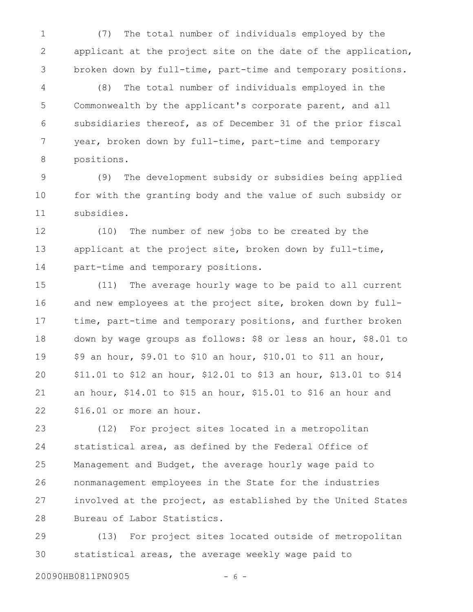(7) The total number of individuals employed by the applicant at the project site on the date of the application, broken down by full-time, part-time and temporary positions. 1 2 3

(8) The total number of individuals employed in the Commonwealth by the applicant's corporate parent, and all subsidiaries thereof, as of December 31 of the prior fiscal year, broken down by full-time, part-time and temporary positions. 4 5 6 7 8

(9) The development subsidy or subsidies being applied for with the granting body and the value of such subsidy or subsidies. 9 10 11

(10) The number of new jobs to be created by the applicant at the project site, broken down by full-time, part-time and temporary positions. 12 13 14

(11) The average hourly wage to be paid to all current and new employees at the project site, broken down by fulltime, part-time and temporary positions, and further broken down by wage groups as follows: \$8 or less an hour, \$8.01 to \$9 an hour, \$9.01 to \$10 an hour, \$10.01 to \$11 an hour, \$11.01 to \$12 an hour, \$12.01 to \$13 an hour, \$13.01 to \$14 an hour, \$14.01 to \$15 an hour, \$15.01 to \$16 an hour and \$16.01 or more an hour. 15 16 17 18 19 20 21 22

(12) For project sites located in a metropolitan statistical area, as defined by the Federal Office of Management and Budget, the average hourly wage paid to nonmanagement employees in the State for the industries involved at the project, as established by the United States Bureau of Labor Statistics. 23 24 25 26 27 28

(13) For project sites located outside of metropolitan statistical areas, the average weekly wage paid to 29 30

20090HB0811PN0905 - 6 -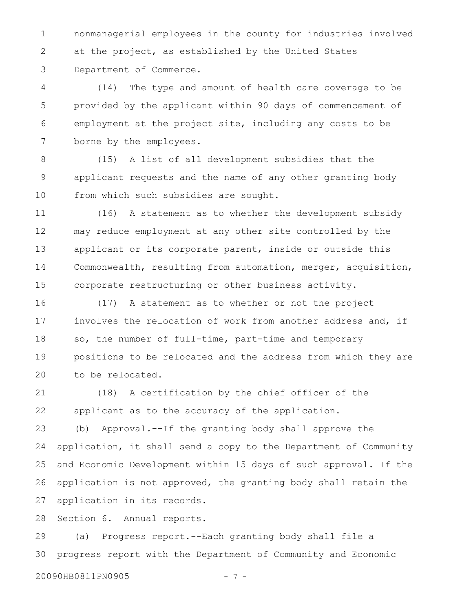nonmanagerial employees in the county for industries involved at the project, as established by the United States Department of Commerce. 1 2 3

(14) The type and amount of health care coverage to be provided by the applicant within 90 days of commencement of employment at the project site, including any costs to be borne by the employees. 4 5 6 7

(15) A list of all development subsidies that the applicant requests and the name of any other granting body from which such subsidies are sought. 8 9 10

(16) A statement as to whether the development subsidy may reduce employment at any other site controlled by the applicant or its corporate parent, inside or outside this Commonwealth, resulting from automation, merger, acquisition, corporate restructuring or other business activity. 11 12 13 14 15

(17) A statement as to whether or not the project involves the relocation of work from another address and, if so, the number of full-time, part-time and temporary positions to be relocated and the address from which they are to be relocated. 16 17 18 19 20

(18) A certification by the chief officer of the applicant as to the accuracy of the application. 21 22

(b) Approval.--If the granting body shall approve the application, it shall send a copy to the Department of Community and Economic Development within 15 days of such approval. If the application is not approved, the granting body shall retain the application in its records. 23 24 25 26 27

Section 6. Annual reports. 28

(a) Progress report.--Each granting body shall file a progress report with the Department of Community and Economic 29 30

20090HB0811PN0905 - 7 -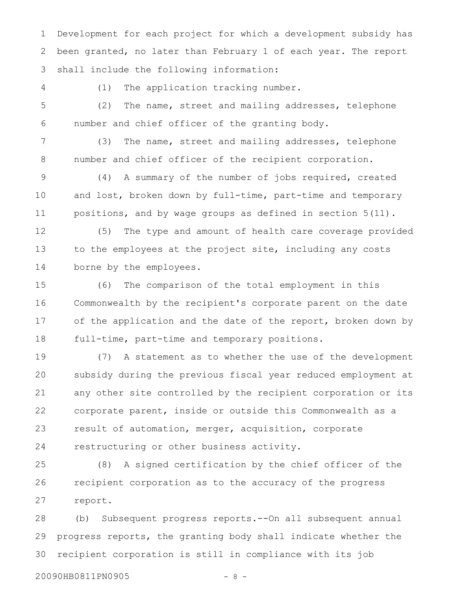Development for each project for which a development subsidy has been granted, no later than February 1 of each year. The report shall include the following information: 1 2 3

4

(1) The application tracking number.

(2) The name, street and mailing addresses, telephone number and chief officer of the granting body. 5 6

(3) The name, street and mailing addresses, telephone number and chief officer of the recipient corporation. 7 8

(4) A summary of the number of jobs required, created and lost, broken down by full-time, part-time and temporary positions, and by wage groups as defined in section 5(11). 9 10 11

(5) The type and amount of health care coverage provided to the employees at the project site, including any costs borne by the employees. 12 13 14

(6) The comparison of the total employment in this Commonwealth by the recipient's corporate parent on the date of the application and the date of the report, broken down by full-time, part-time and temporary positions. 15 16 17 18

(7) A statement as to whether the use of the development subsidy during the previous fiscal year reduced employment at any other site controlled by the recipient corporation or its corporate parent, inside or outside this Commonwealth as a result of automation, merger, acquisition, corporate restructuring or other business activity. 19 20 21 22 23 24

(8) A signed certification by the chief officer of the recipient corporation as to the accuracy of the progress report. 25 26 27

(b) Subsequent progress reports.--On all subsequent annual progress reports, the granting body shall indicate whether the recipient corporation is still in compliance with its job 28 29 30

20090HB0811PN0905 - 8 -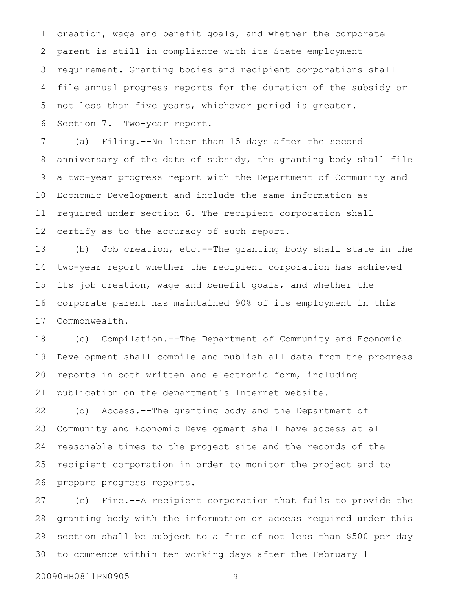creation, wage and benefit goals, and whether the corporate parent is still in compliance with its State employment requirement. Granting bodies and recipient corporations shall file annual progress reports for the duration of the subsidy or not less than five years, whichever period is greater. Section 7. Two-year report. 1 2 3 4 5 6

(a) Filing.--No later than 15 days after the second anniversary of the date of subsidy, the granting body shall file a two-year progress report with the Department of Community and Economic Development and include the same information as required under section 6. The recipient corporation shall certify as to the accuracy of such report. 7 8 9 10 11 12

(b) Job creation, etc.--The granting body shall state in the two-year report whether the recipient corporation has achieved its job creation, wage and benefit goals, and whether the corporate parent has maintained 90% of its employment in this Commonwealth. 13 14 15 16 17

(c) Compilation.--The Department of Community and Economic Development shall compile and publish all data from the progress reports in both written and electronic form, including publication on the department's Internet website. 18 19 20 21

(d) Access.--The granting body and the Department of Community and Economic Development shall have access at all reasonable times to the project site and the records of the recipient corporation in order to monitor the project and to prepare progress reports. 22 23 24 25 26

(e) Fine.--A recipient corporation that fails to provide the granting body with the information or access required under this section shall be subject to a fine of not less than \$500 per day to commence within ten working days after the February 1 27 28 29 30

20090HB0811PN0905 - 9 -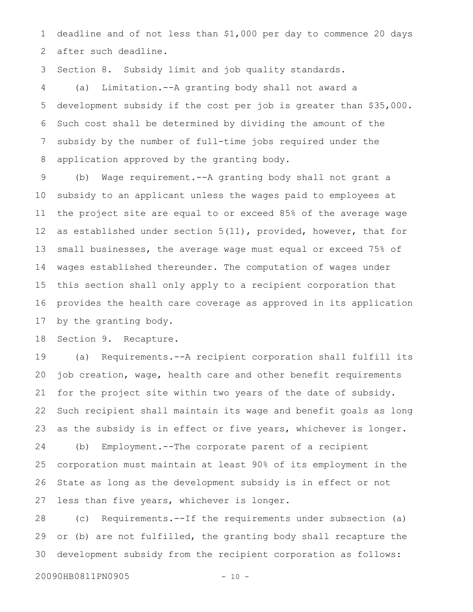deadline and of not less than \$1,000 per day to commence 20 days after such deadline. 1 2

Section 8. Subsidy limit and job quality standards. 3

(a) Limitation.--A granting body shall not award a development subsidy if the cost per job is greater than \$35,000. Such cost shall be determined by dividing the amount of the subsidy by the number of full-time jobs required under the application approved by the granting body. 4 5 6 7 8

(b) Wage requirement.--A granting body shall not grant a subsidy to an applicant unless the wages paid to employees at the project site are equal to or exceed 85% of the average wage as established under section 5(11), provided, however, that for small businesses, the average wage must equal or exceed 75% of wages established thereunder. The computation of wages under this section shall only apply to a recipient corporation that provides the health care coverage as approved in its application by the granting body. 9 10 11 12 13 14 15 16 17

Section 9. Recapture. 18

(a) Requirements.--A recipient corporation shall fulfill its job creation, wage, health care and other benefit requirements for the project site within two years of the date of subsidy. Such recipient shall maintain its wage and benefit goals as long as the subsidy is in effect or five years, whichever is longer. (b) Employment.--The corporate parent of a recipient corporation must maintain at least 90% of its employment in the State as long as the development subsidy is in effect or not less than five years, whichever is longer. 19 20 21 22 23 24 25 26 27

(c) Requirements.--If the requirements under subsection (a) or (b) are not fulfilled, the granting body shall recapture the development subsidy from the recipient corporation as follows: 28 29 30

```
20090HB0811PN0905 - 10 -
```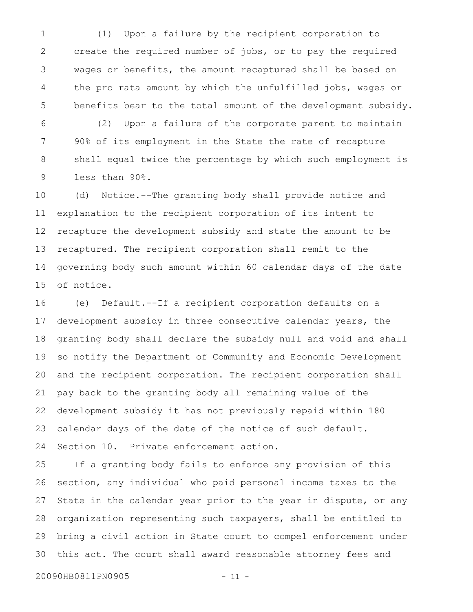(1) Upon a failure by the recipient corporation to create the required number of jobs, or to pay the required wages or benefits, the amount recaptured shall be based on the pro rata amount by which the unfulfilled jobs, wages or benefits bear to the total amount of the development subsidy. 1 2 3 4 5

(2) Upon a failure of the corporate parent to maintain 90% of its employment in the State the rate of recapture shall equal twice the percentage by which such employment is less than 90%. 6 7 8 9

(d) Notice.--The granting body shall provide notice and explanation to the recipient corporation of its intent to recapture the development subsidy and state the amount to be recaptured. The recipient corporation shall remit to the governing body such amount within 60 calendar days of the date of notice. 10 11 12 13 14 15

(e) Default.--If a recipient corporation defaults on a development subsidy in three consecutive calendar years, the granting body shall declare the subsidy null and void and shall so notify the Department of Community and Economic Development and the recipient corporation. The recipient corporation shall pay back to the granting body all remaining value of the development subsidy it has not previously repaid within 180 calendar days of the date of the notice of such default. Section 10. Private enforcement action. 16 17 18 19 20 21 22 23 24

If a granting body fails to enforce any provision of this section, any individual who paid personal income taxes to the State in the calendar year prior to the year in dispute, or any organization representing such taxpayers, shall be entitled to bring a civil action in State court to compel enforcement under this act. The court shall award reasonable attorney fees and 25 26 27 28 29 30

20090HB0811PN0905 - 11 -